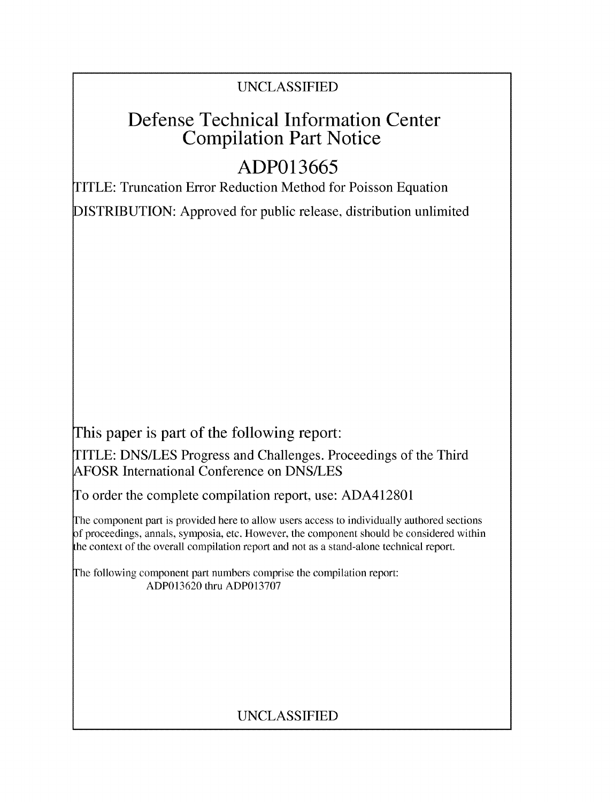## UNCLASSIFIED

# Defense Technical Information Center Compilation Part Notice

# **ADP013665**

TITLE: Truncation Error Reduction Method for Poisson Equation

DISTRIBUTION: Approved for public release, distribution unlimited

This paper is part of the following report:

TITLE: DNS/LES Progress and Challenges. Proceedings of the Third AFOSR International Conference on DNS/LES

To order the complete compilation report, use: ADA412801

The component part is provided here to allow users access to individually authored sections f proceedings, annals, symposia, etc. However, the component should be considered within the context of the overall compilation report and not as a stand-alone technical report.

The following component part numbers comprise the compilation report: ADP013620 thru ADP013707

# UNCLASSIFIED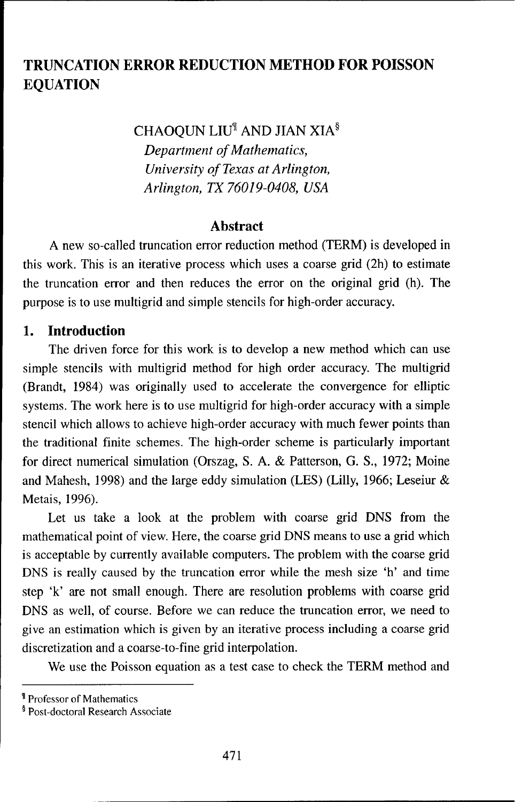## **TRUNCATION** ERROR **REDUCTION** METHOD FOR **POISSON EQUATION**

CHAOQUN LIU<sup>¶</sup> AND JIAN XIA $§$ 

*Department of Mathematics, University of Texas at Arlington, Arlington, TX 76019-0408, USA*

#### Abstract

A new so-called truncation error reduction method (TERM) is developed in this work. This is an iterative process which uses a coarse grid (2h) to estimate the truncation error and then reduces the error on the original grid (h). The purpose is to use multigrid and simple stencils for high-order accuracy.

#### 1. Introduction

The driven force for this work is to develop a new method which can use simple stencils with multigrid method for high order accuracy. The multigrid (Brandt, 1984) was originally used to accelerate the convergence for elliptic systems. The work here is to use multigrid for high-order accuracy with a simple stencil which allows to achieve high-order accuracy with much fewer points than the traditional finite schemes. The high-order scheme is particularly important for direct numerical simulation (Orszag, S. A. & Patterson, G. S., 1972; Moine and Mahesh, 1998) and the large eddy simulation (LES) (Lilly, 1966; Leseiur & Metais, 1996).

Let us take a look at the problem with coarse grid DNS from the mathematical point of view. Here, the coarse grid DNS means to use a grid which is acceptable by currently available computers. The problem with the coarse grid DNS is really caused by the truncation error while the mesh size 'h' and time step 'k' are not small enough. There are resolution problems with coarse grid DNS as well, of course. Before we can reduce the truncation error, we need to give an estimation which is given by an iterative process including a coarse grid discretization and a coarse-to-fine grid interpolation.

We use the Poisson equation as a test case to check the TERM method and

<sup>¶</sup> Professor of Mathematics

<sup>§</sup> Post-doctoral Research Associate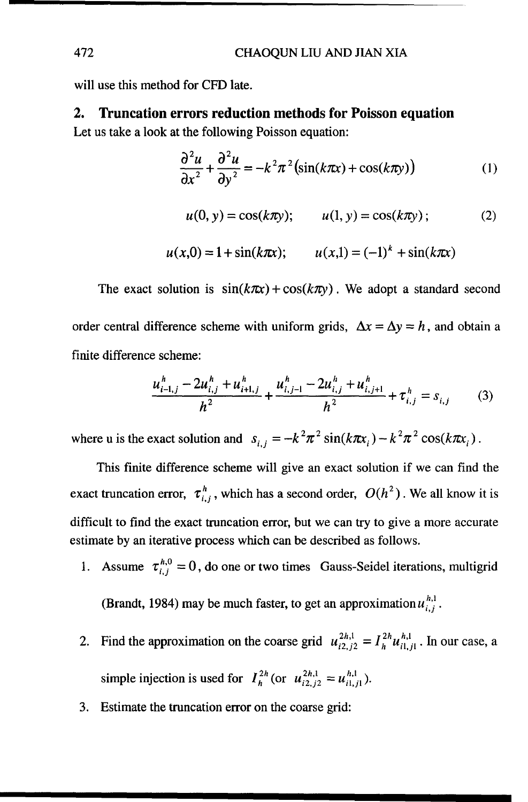will use this method for CFD late.

#### 2. Truncation errors reduction methods for Poisson equation

Let us take a look at the following Poisson equation:

$$
\frac{\partial^2 u}{\partial x^2} + \frac{\partial^2 u}{\partial y^2} = -k^2 \pi^2 \left( \sin(k \pi x) + \cos(k \pi y) \right)
$$
 (1)

$$
u(0, y) = \cos(k\pi y);
$$
  $u(1, y) = \cos(k\pi y);$  (2)

$$
u(x,0) = 1 + \sin(k\pi x);
$$
  $u(x,1) = (-1)^k + \sin(k\pi x)$ 

The exact solution is  $sin(k\pi x) + cos(k\pi y)$ . We adopt a standard second order central difference scheme with uniform grids,  $\Delta x = \Delta y = h$ , and obtain a finite difference scheme:

$$
\frac{u_{i-1,j}^h - 2u_{i,j}^h + u_{i+1,j}^h}{h^2} + \frac{u_{i,j-1}^h - 2u_{i,j}^h + u_{i,j+1}^h}{h^2} + \tau_{i,j}^h = s_{i,j}
$$
 (3)

where u is the exact solution and  $s_{i,j} = -k^2 \pi^2 \sin(k\pi x_i) - k^2 \pi^2 \cos(k\pi x_i)$ .

This finite difference scheme will give an exact solution if we can find the exact truncation error,  $\tau_{i,j}^h$ , which has a second order,  $O(h^2)$ . We all know it is difficult to find the exact truncation error, but we can try to give a more accurate estimate by an iterative process which can be described as follows.

1. Assume  $\tau_{i,j}^{h,0} = 0$ , do one or two times Gauss-Seidel iterations, multigrid

(Brandt, 1984) may be much faster, to get an approximation  $u_{i,j}^{h,1}$ .

- 2. Find the approximation on the coarse grid  $u_{i2,j2}^{2h,1} = I_h^{2h} u_{i1,j}^{h,1}$ . In our case, a simple injection is used for  $I_h^{2h}$  (or  $u_{i2,j2}^{2h,1} = u_{i1,j1}^{h,1}$ ).
- 3. Estimate the truncation error on the coarse grid: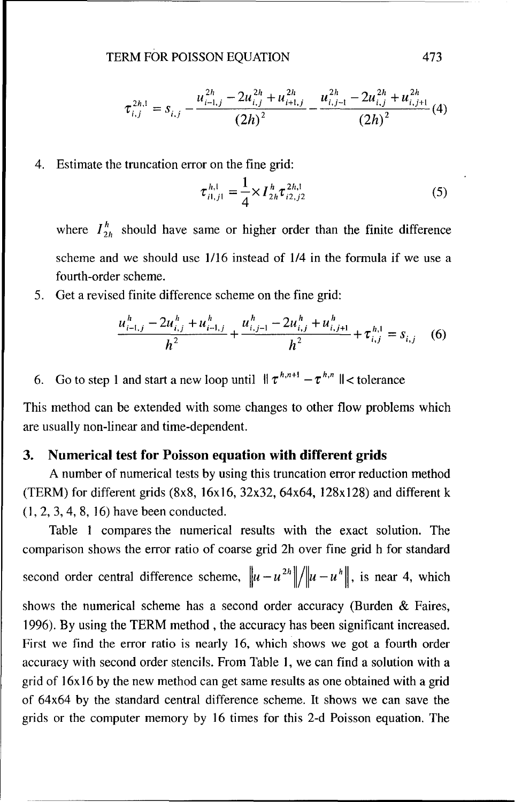TERM FOR POISSON EQUATION 473

$$
\tau_{i,j}^{2h,1} = s_{i,j} - \frac{u_{i-1,j}^{2h} - 2u_{i,j}^{2h} + u_{i+1,j}^{2h}}{(2h)^2} - \frac{u_{i,j-1}^{2h} - 2u_{i,j}^{2h} + u_{i,j+1}^{2h}}{(2h)^2} (4)
$$

4. Estimate the truncation error on the fine grid:

$$
\tau_{i1,j1}^{h,1} = \frac{1}{4} \times I_{2h}^h \tau_{i2,j2}^{2h,1}
$$
 (5)

where  $I_{2h}^{h}$  should have same or higher order than the finite difference scheme and we should use 1/16 instead of 1/4 in the formula if we use a fourth-order scheme.

5. Get a revised finite difference scheme on the fine grid:

$$
\frac{u_{i-1,j}^h - 2u_{i,j}^h + u_{i-1,j}^h}{h^2} + \frac{u_{i,j-1}^h - 2u_{i,j}^h + u_{i,j+1}^h}{h^2} + \tau_{i,j}^{h,1} = s_{i,j} \quad (6)
$$

6. Go to step 1 and start a new loop until  $\|\tau^{h,n+1} - \tau^{h,n}\|$  < tolerance

This method can be extended with some changes to other flow problems which are usually non-linear and time-dependent.

#### **3.** Numerical test for Poisson equation with different grids

**A** number of numerical tests by using this truncation error reduction method (TERM) for different grids  $(8x8, 16x16, 32x32, 64x64, 128x128)$  and different k **(1,** 2, 3, 4, **8, 16)** have been conducted.

Table **I** compares the numerical results with the exact solution. The comparison shows the error ratio of coarse grid 2h over fine grid h for standard second order central difference scheme,  $\left\| u - u^{2h} \right\| / \left\| u - u^{h} \right\|$ , is near 4, which shows the numerical scheme has a second order accuracy (Burden & Faires, 1996). By using the TERM method , the accuracy has been significant increased. First we find the error ratio is nearly 16, which shows we got a fourth order accuracy with second order stencils. From Table 1, we can find a solution with a grid of  $16x16$  by the new method can get same results as one obtained with a grid of 64x64 by the standard central difference scheme. It shows we can save the grids or the computer memory by 16 times for this 2-d Poisson equation. The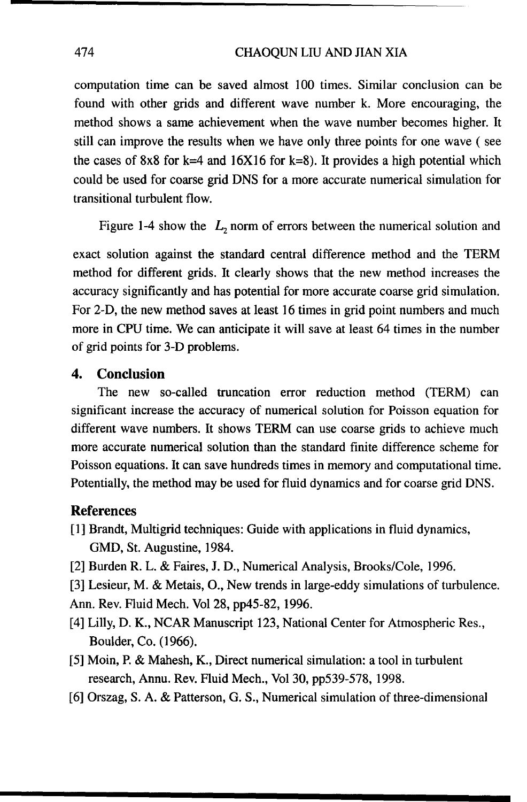computation time can be saved almost 100 times. Similar conclusion can be found with other grids and different wave number k. More encouraging, the method shows a same achievement when the wave number becomes higher. It still can improve the results when we have only three points for one wave **(** see the cases of 8x8 for k=4 and 16X16 for k=8). It provides a high potential which could be used for coarse grid DNS for a more accurate numerical simulation for transitional turbulent flow.

Figure 1-4 show the  $L_2$  norm of errors between the numerical solution and

exact solution against the standard central difference method and the TERM method for different grids. It clearly shows that the new method increases the accuracy significantly and has potential for more accurate coarse grid simulation. For 2-D, the new method saves at least 16 times in grid point numbers and much more in CPU time. We can anticipate it will save at least 64 times in the number of grid points for 3-D problems.

#### 4. Conclusion

The new so-called truncation error reduction method (TERM) can significant increase the accuracy of numerical solution for Poisson equation for different wave numbers. It shows TERM can use coarse grids to achieve much more accurate numerical solution than the standard finite difference scheme for Poisson equations. It can save hundreds times in memory and computational time. Potentially, the method may be used for fluid dynamics and for coarse grid DNS.

#### **References**

- [1] Brandt, Multigrid techniques: Guide with applications in fluid dynamics, GMD, St. Augustine, 1984.
- [2] Burden R. L. & Faires, **J.** D., Numerical Analysis, Brooks/Cole, 1996.
- [3] Lesieur, M. & Metais, **0.,** New trends in large-eddy simulations of turbulence.

Ann. Rev. Fluid Mech. Vol 28, pp45-82, 1996.

- [4] Lilly, D. K., NCAR Manuscript 123, National Center for Atmospheric Res., Boulder, Co. (1966).
- **[5]** Moin, P. & Mahesh, K., Direct numerical simulation: a tool in turbulent research, Annu. Rev. Fluid Mech., Vol 30, pp539-578, 1998.
- [6] Orszag, S. A. & Patterson, G. S., Numerical simulation of three-dimensional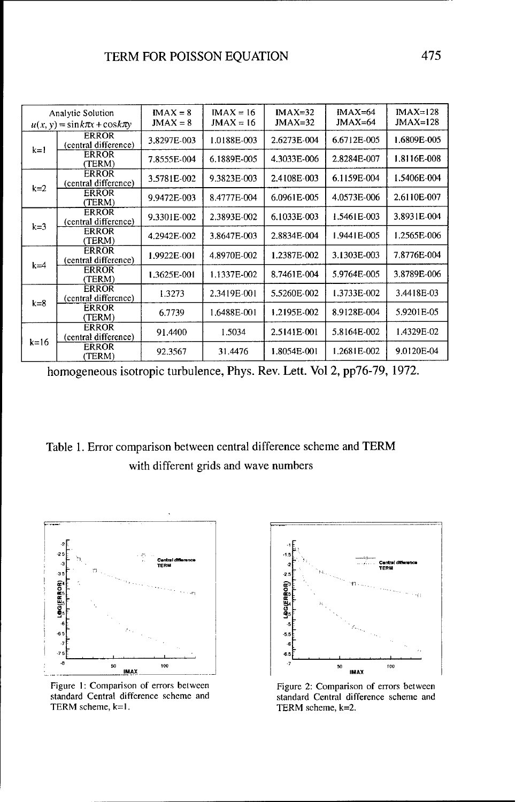| Analytic Solution<br>$u(x, y) = \sin k\pi x + \cos k\pi y$ |                                      | $IMAX = 8$<br>$JMAX = 8$ | $IMAX = 16$<br>$JMAX = 16$ | $IMAX=32$<br>$JMAX=32$ | $IMAX=64$<br>$JMAX=64$ | $IMAX=128$<br>$JMAX=128$ |
|------------------------------------------------------------|--------------------------------------|--------------------------|----------------------------|------------------------|------------------------|--------------------------|
| $k=1$                                                      | <b>ERROR</b><br>(central difference) | 3.8297E-003              | 1.0188E-003                | 2.6273E-004            | 6.6712E-005            | 1.6809E-005              |
|                                                            | <b>ERROR</b><br>(TERM)               | 7.8555E-004              | 6.1889E-005                | 4.3033E-006            | 2.8284E-007            | 1.8116E-008              |
| $k=2$                                                      | <b>ERROR</b><br>(central difference) | 3.5781E-002              | 9.3823E-003                | 2.4108E-003            | 6.1159E-004            | 1.5406E-004              |
|                                                            | <b>ERROR</b><br>(TERM)               | 9.9472E-003              | 8.4777E-004                | 6.0961E-005            | 4.0573E-006            | 2.6110E-007              |
| $k=3$                                                      | <b>ERROR</b><br>(central difference) | 9.3301E-002              | 2.3893E-002                | 6.1033E-003            | 1.5461E-003            | 3.8931E-004              |
|                                                            | <b>ERROR</b><br>(TERM)               | 4.2942E-002              | 3.8647E-003                | 2.8834E-004            | 1.9441E-005            | 1.2565E-006              |
| $k = 4$                                                    | <b>ERROR</b><br>(central difference) | 1.9922E-001              | 4.8970E-002                | 1.2387E-002            | 3.1303E-003            | 7.8776E-004              |
|                                                            | <b>ERROR</b><br>(TERM)               | 1.3625E-001              | 1.1337E-002                | 8.7461E-004            | 5.9764E-005            | 3.8789E-006              |
| $k=8$                                                      | <b>ERROR</b><br>(central difference) | 1.3273                   | 2.3419E-001                | 5.5260E-002            | 1.3733E-002            | 3.4418E-03               |
|                                                            | <b>ERROR</b><br>(TERM)               | 6.7739                   | 1.6488E-001                | 1.2195E-002            | 8.9128E-004            | 5.9201E-05               |
| $k=16$                                                     | <b>ERROR</b><br>(central difference) | 91.4400                  | 1.5034                     | 2.5141E-001            | 5.8164E-002            | 1.4329E-02               |
|                                                            | <b>ERROR</b><br>(TERM)               | 92.3567                  | 31.4476                    | 1.8054E-001            | 1.2681E-002            | 9.0120E-04               |

homogeneous isotropic turbulence, Phys. Rev. Lett. Vol 2, pp76-79, 1972.

Table 1. Error comparison between central difference scheme and TERM with different grids and wave numbers



Figure 1: Comparison of errors between Figure 2: Comparison of errors between standard Central difference scheme and standard Central difference scheme and TERM scheme,  $k=1$ . TERM scheme,  $k=2$ .

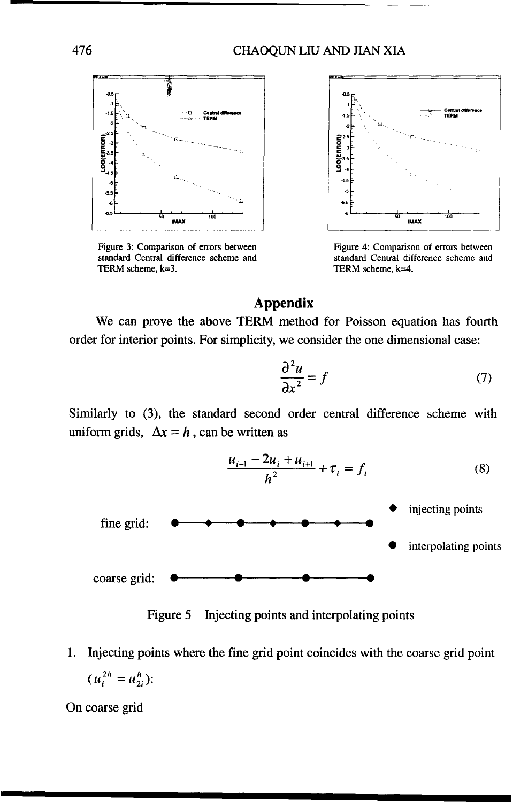

TERM scheme, k=3.



Figure 3: Comparison of errors between Figure 4: Comparison of errors between standard Central difference scheme and standard Central difference scheme and TERM scheme, k=4.

### Appendix

We can prove the above TERM method for Poisson equation has fourth order for interior points. For simplicity, we consider the one dimensional case:

$$
\frac{\partial^2 u}{\partial x^2} = f \tag{7}
$$

Similarly to (3), the standard second order central difference scheme with uniform grids,  $\Delta x = h$ , can be written as



Figure 5 Injecting points and interpolating points

1. Injecting points where the fine grid point coincides with the coarse grid point  $(u_i^{2h} = u_{2i}^h)$ :

On coarse grid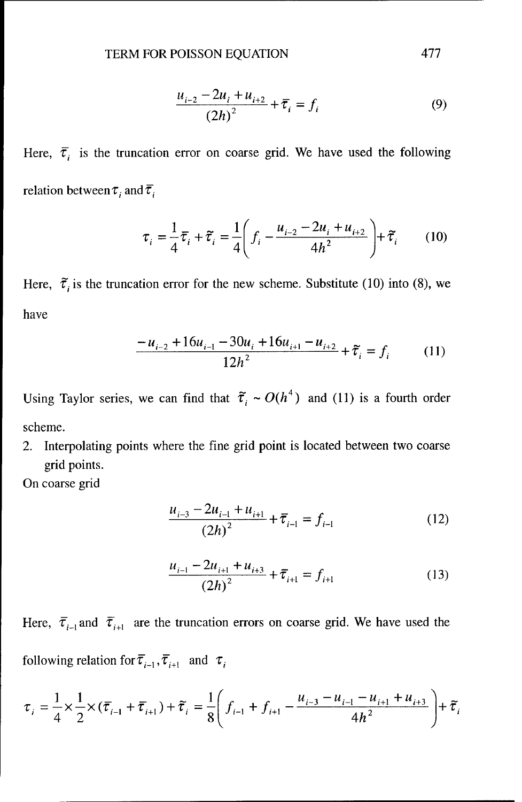$$
\frac{u_{i-2} - 2u_i + u_{i+2}}{(2h)^2} + \overline{\tau}_i = f_i
$$
 (9)

Here,  $\bar{\tau}_i$  is the truncation error on coarse grid. We have used the following relation between  $\tau_i$  and  $\overline{\tau}_i$ 

$$
\tau_i = \frac{1}{4}\bar{\tau}_i + \tilde{\tau}_i = \frac{1}{4}\left(f_i - \frac{u_{i-2} - 2u_i + u_{i+2}}{4h^2}\right) + \tilde{\tau}_i \tag{10}
$$

Here,  $\tilde{\tau}_i$  is the truncation error for the new scheme. Substitute (10) into (8), we have

$$
\frac{-u_{i-2} + 16u_{i-1} - 30u_i + 16u_{i+1} - u_{i+2}}{12h^2} + \tilde{\tau}_i = f_i \tag{11}
$$

Using Taylor series, we can find that  $\tilde{\tau}_i \sim O(h^4)$  and (11) is a fourth order scheme.

2. Interpolating points where the fine grid point is located between two coarse grid points.

On coarse grid

$$
\frac{u_{i-3} - 2u_{i-1} + u_{i+1}}{(2h)^2} + \overline{\tau}_{i-1} = f_{i-1}
$$
 (12)

$$
\frac{u_{i-1} - 2u_{i+1} + u_{i+3}}{(2h)^2} + \overline{\tau}_{i+1} = f_{i+1}
$$
 (13)

Here,  $\bar{\tau}_{i-1}$  and  $\bar{\tau}_{i+1}$  are the truncation errors on coarse grid. We have used the following relation for  $\overline{\tau}_{i-1}$ ,  $\overline{\tau}_{i+1}$  and  $\tau_i$ 

$$
\tau_i = \frac{1}{4} \times \frac{1}{2} \times (\overline{\tau}_{i-1} + \overline{\tau}_{i+1}) + \widetilde{\tau}_i = \frac{1}{8} \left( f_{i-1} + f_{i+1} - \frac{u_{i-3} - u_{i-1} - u_{i+1} + u_{i+3}}{4h^2} \right) + \widetilde{\tau}_i
$$